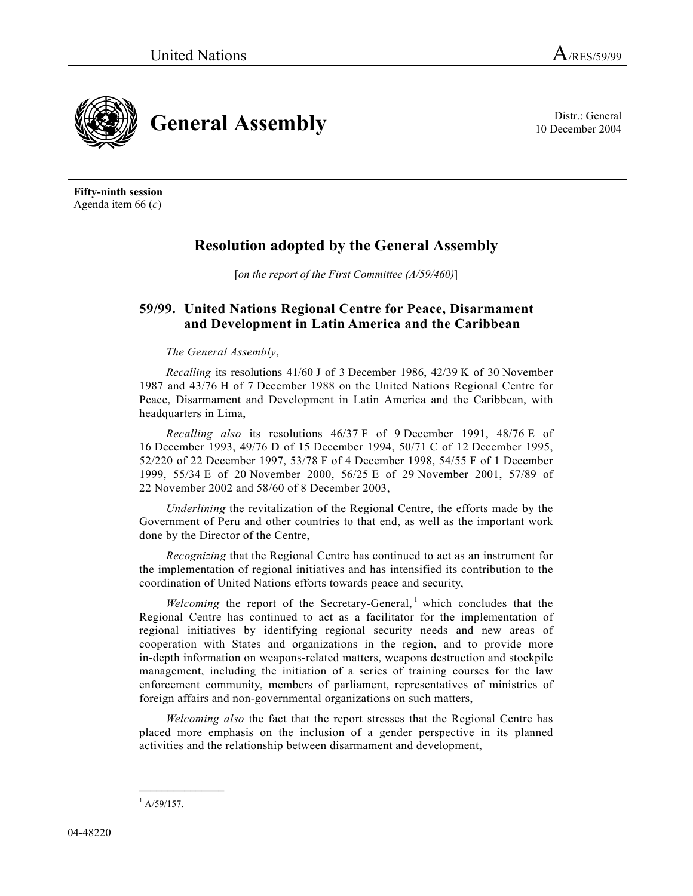10 December 2004



**Fifty-ninth session**  Agenda item 66 (*c*)

## **Resolution adopted by the General Assembly**

[*on the report of the First Committee (A/59/460)*]

## **59/99. United Nations Regional Centre for Peace, Disarmament and Development in Latin America and the Caribbean**

## *The General Assembly*,

*Recalling* its resolutions 41/60 J of 3 December 1986, 42/39 K of 30 November 1987 and 43/76 H of 7 December 1988 on the United Nations Regional Centre for Peace, Disarmament and Development in Latin America and the Caribbean, with headquarters in Lima,

*Recalling also* its resolutions 46/37 F of 9 December 1991, 48/76 E of 16 December 1993, 49/76 D of 15 December 1994, 50/71 C of 12 December 1995, 52/220 of 22 December 1997, 53/78 F of 4 December 1998, 54/55 F of 1 December 1999, 55/34 E of 20 November 2000, 56/25 E of 29 November 2001, 57/89 of 22 November 2002 and 58/60 of 8 December 2003,

*Underlining* the revitalization of the Regional Centre, the efforts made by the Government of Peru and other countries to that end, as well as the important work done by the Director of the Centre,

*Recognizing* that the Regional Centre has continued to act as an instrument for the implementation of regional initiatives and has intensified its contribution to the coordination of United Nations efforts towards peace and security,

*Welcoming* the report of the Secretary-General,<sup>1</sup> which concludes that the Regional Centre has continued to act as a facilitator for the implementation of regional initiatives by identifying regional security needs and new areas of cooperation with States and organizations in the region, and to provide more in-depth information on weapons-related matters, weapons destruction and stockpile management, including the initiation of a series of training courses for the law enforcement community, members of parliament, representatives of ministries of foreign affairs and non-governmental organizations on such matters,

*Welcoming also* the fact that the report stresses that the Regional Centre has placed more emphasis on the inclusion of a gender perspective in its planned activities and the relationship between disarmament and development,

 $^{1}$  A/59/157.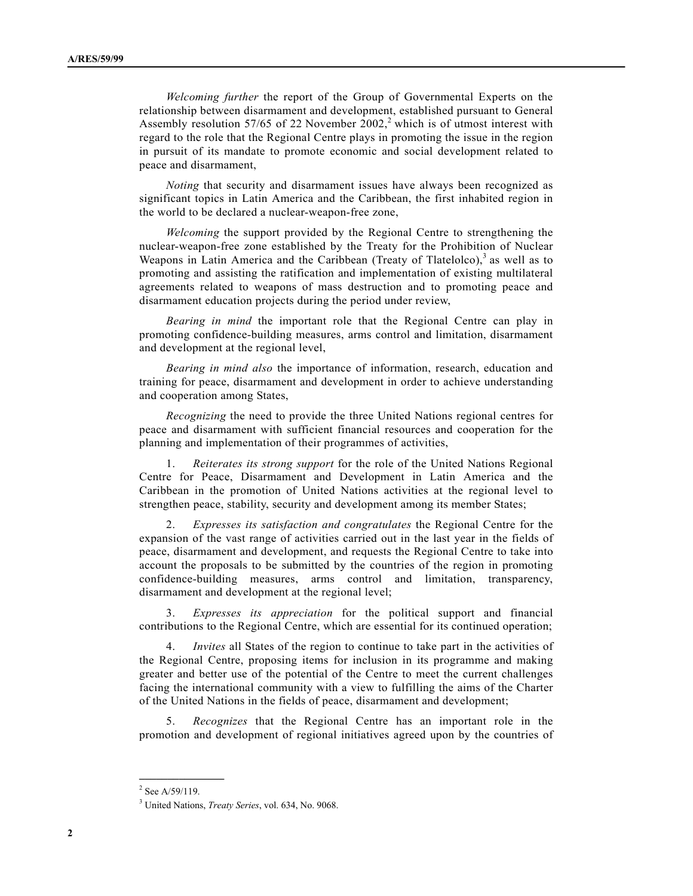*Welcoming further* the report of the Group of Governmental Experts on the relationship between disarmament and development, established pursuant to General Assembly resolution 57/65 of 22 November  $2002$ ,<sup>2</sup> which is of utmost interest with regard to the role that the Regional Centre plays in promoting the issue in the region in pursuit of its mandate to promote economic and social development related to peace and disarmament,

*Noting* that security and disarmament issues have always been recognized as significant topics in Latin America and the Caribbean, the first inhabited region in the world to be declared a nuclear-weapon-free zone,

*Welcoming* the support provided by the Regional Centre to strengthening the nuclear-weapon-free zone established by the Treaty for the Prohibition of Nuclear Weapons in Latin America and the Caribbean (Treaty of Tlatelolco), $3$  as well as to promoting and assisting the ratification and implementation of existing multilateral agreements related to weapons of mass destruction and to promoting peace and disarmament education projects during the period under review,

*Bearing in mind* the important role that the Regional Centre can play in promoting confidence-building measures, arms control and limitation, disarmament and development at the regional level,

*Bearing in mind also* the importance of information, research, education and training for peace, disarmament and development in order to achieve understanding and cooperation among States,

*Recognizing* the need to provide the three United Nations regional centres for peace and disarmament with sufficient financial resources and cooperation for the planning and implementation of their programmes of activities,

 1. *Reiterates its strong support* for the role of the United Nations Regional Centre for Peace, Disarmament and Development in Latin America and the Caribbean in the promotion of United Nations activities at the regional level to strengthen peace, stability, security and development among its member States;

 2. *Expresses its satisfaction and congratulates* the Regional Centre for the expansion of the vast range of activities carried out in the last year in the fields of peace, disarmament and development, and requests the Regional Centre to take into account the proposals to be submitted by the countries of the region in promoting confidence-building measures, arms control and limitation, transparency, disarmament and development at the regional level;

 3. *Expresses its appreciation* for the political support and financial contributions to the Regional Centre, which are essential for its continued operation;

 4. *Invites* all States of the region to continue to take part in the activities of the Regional Centre, proposing items for inclusion in its programme and making greater and better use of the potential of the Centre to meet the current challenges facing the international community with a view to fulfilling the aims of the Charter of the United Nations in the fields of peace, disarmament and development;

 5. *Recognizes* that the Regional Centre has an important role in the promotion and development of regional initiatives agreed upon by the countries of

**\_\_\_\_\_\_\_\_\_\_\_\_\_\_\_** 

 $2$  See A/59/119.

<sup>3</sup> United Nations, *Treaty Series*, vol. 634, No. 9068.